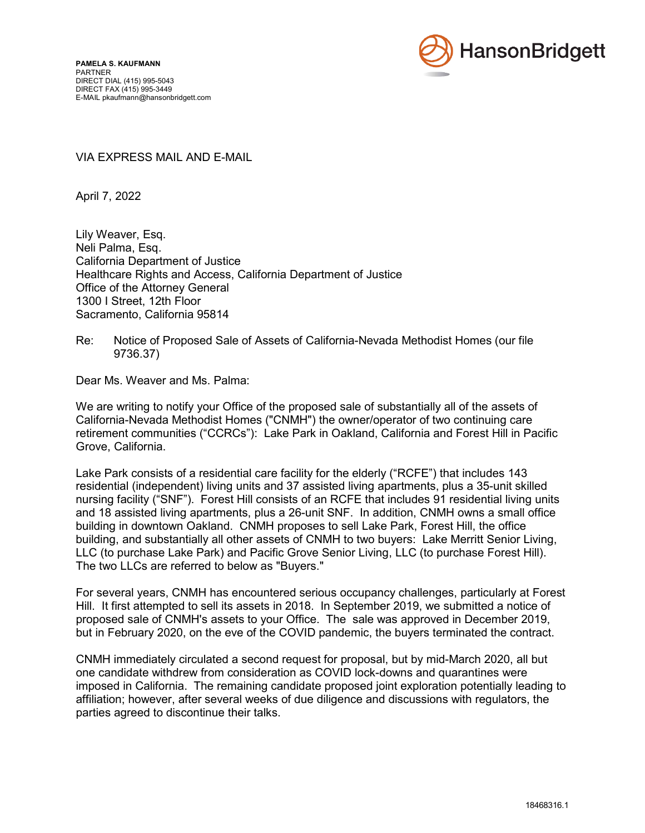

## VIA EXPRESS MAIL AND E-MAIL

April 7, 2022

Lily Weaver, Esq. Neli Palma, Esq. California Department of Justice Healthcare Rights and Access, California Department of Justice Office of the Attorney General 1300 I Street, 12th Floor Sacramento, California 95814

## Re: Notice of Proposed Sale of Assets of California-Nevada Methodist Homes (our file 9736.37)

Dear Ms. Weaver and Ms. Palma:

We are writing to notify your Office of the proposed sale of substantially all of the assets of California-Nevada Methodist Homes ("CNMH") the owner/operator of two continuing care retirement communities ("CCRCs"): Lake Park in Oakland, California and Forest Hill in Pacific Grove, California.

Lake Park consists of a residential care facility for the elderly ("RCFE") that includes 143 residential (independent) living units and 37 assisted living apartments, plus a 35-unit skilled nursing facility ("SNF"). Forest Hill consists of an RCFE that includes 91 residential living units and 18 assisted living apartments, plus a 26-unit SNF. In addition, CNMH owns a small office building in downtown Oakland. CNMH proposes to sell Lake Park, Forest Hill, the office building, and substantially all other assets of CNMH to two buyers: Lake Merritt Senior Living, LLC (to purchase Lake Park) and Pacific Grove Senior Living, LLC (to purchase Forest Hill). The two LLCs are referred to below as "Buyers."

For several years, CNMH has encountered serious occupancy challenges, particularly at Forest Hill. It first attempted to sell its assets in 2018. In September 2019, we submitted a notice of proposed sale of CNMH's assets to your Office. The sale was approved in December 2019, but in February 2020, on the eve of the COVID pandemic, the buyers terminated the contract.

CNMH immediately circulated a second request for proposal, but by mid-March 2020, all but one candidate withdrew from consideration as COVID lock-downs and quarantines were imposed in California. The remaining candidate proposed joint exploration potentially leading to affiliation; however, after several weeks of due diligence and discussions with regulators, the parties agreed to discontinue their talks.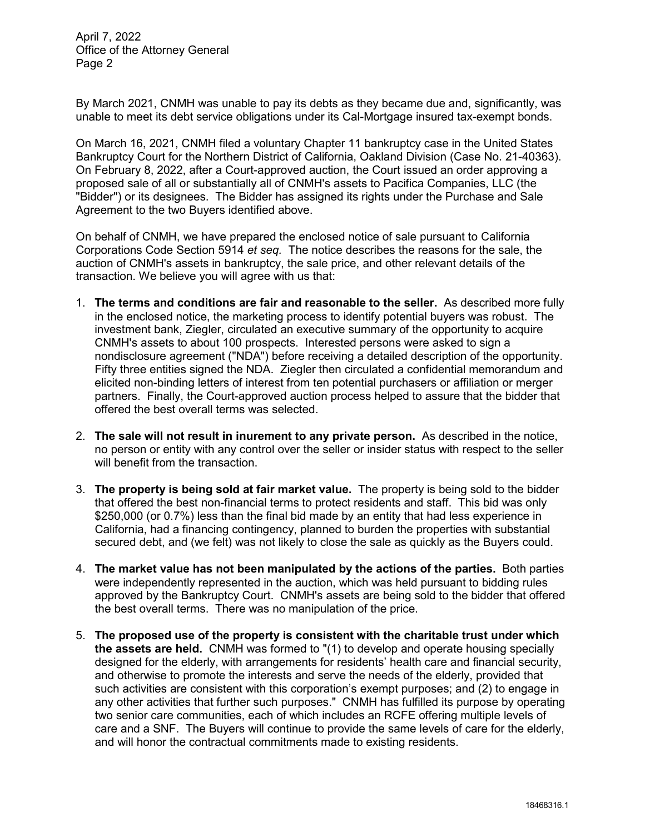April 7, 2022 Office of the Attorney General Page 2

By March 2021, CNMH was unable to pay its debts as they became due and, significantly, was unable to meet its debt service obligations under its Cal-Mortgage insured tax-exempt bonds.

On March 16, 2021, CNMH filed a voluntary Chapter 11 bankruptcy case in the United States Bankruptcy Court for the Northern District of California, Oakland Division (Case No. 21-40363). On February 8, 2022, after a Court-approved auction, the Court issued an order approving a proposed sale of all or substantially all of CNMH's assets to Pacifica Companies, LLC (the "Bidder") or its designees. The Bidder has assigned its rights under the Purchase and Sale Agreement to the two Buyers identified above.

On behalf of CNMH, we have prepared the enclosed notice of sale pursuant to California Corporations Code Section 5914 *et seq.* The notice describes the reasons for the sale, the auction of CNMH's assets in bankruptcy, the sale price, and other relevant details of the transaction. We believe you will agree with us that:

- 1. **The terms and conditions are fair and reasonable to the seller.** As described more fully in the enclosed notice, the marketing process to identify potential buyers was robust. The investment bank, Ziegler, circulated an executive summary of the opportunity to acquire CNMH's assets to about 100 prospects. Interested persons were asked to sign a nondisclosure agreement ("NDA") before receiving a detailed description of the opportunity. Fifty three entities signed the NDA. Ziegler then circulated a confidential memorandum and elicited non-binding letters of interest from ten potential purchasers or affiliation or merger partners. Finally, the Court-approved auction process helped to assure that the bidder that offered the best overall terms was selected.
- 2. **The sale will not result in inurement to any private person.** As described in the notice, no person or entity with any control over the seller or insider status with respect to the seller will benefit from the transaction.
- 3. **The property is being sold at fair market value.** The property is being sold to the bidder that offered the best non-financial terms to protect residents and staff. This bid was only \$250,000 (or 0.7%) less than the final bid made by an entity that had less experience in California, had a financing contingency, planned to burden the properties with substantial secured debt, and (we felt) was not likely to close the sale as quickly as the Buyers could.
- 4. **The market value has not been manipulated by the actions of the parties.** Both parties were independently represented in the auction, which was held pursuant to bidding rules approved by the Bankruptcy Court. CNMH's assets are being sold to the bidder that offered the best overall terms. There was no manipulation of the price.
- 5. **The proposed use of the property is consistent with the charitable trust under which the assets are held.** CNMH was formed to "(1) to develop and operate housing specially designed for the elderly, with arrangements for residents' health care and financial security, and otherwise to promote the interests and serve the needs of the elderly, provided that such activities are consistent with this corporation's exempt purposes; and (2) to engage in any other activities that further such purposes." CNMH has fulfilled its purpose by operating two senior care communities, each of which includes an RCFE offering multiple levels of care and a SNF. The Buyers will continue to provide the same levels of care for the elderly, and will honor the contractual commitments made to existing residents.